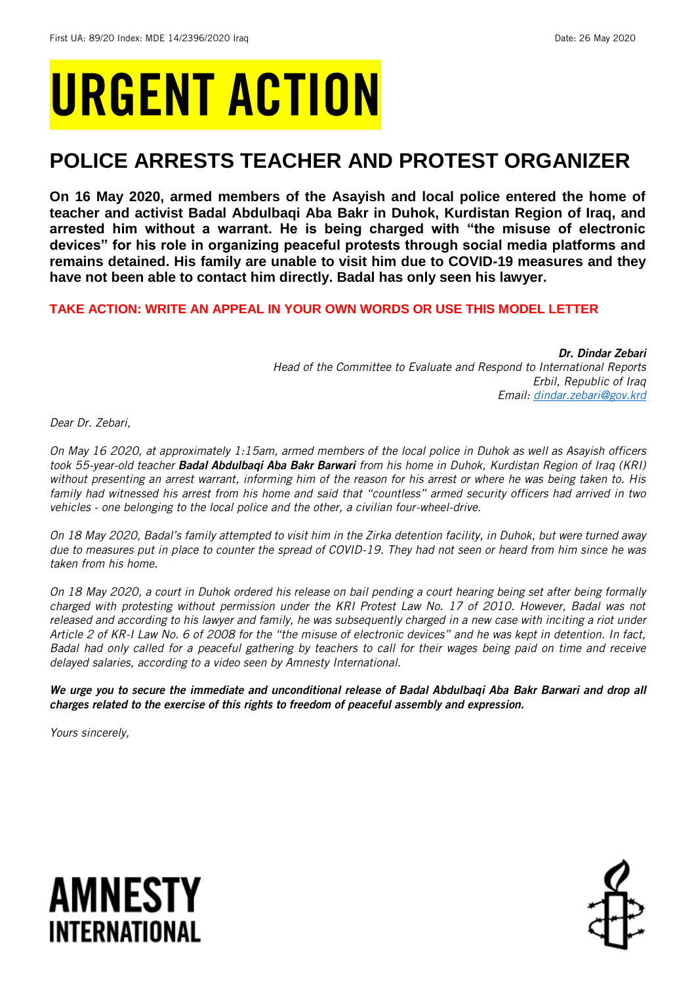# URGENT ACTION

## **POLICE ARRESTS TEACHER AND PROTEST ORGANIZER**

**On 16 May 2020, armed members of the Asayish and local police entered the home of teacher and activist Badal Abdulbaqi Aba Bakr in Duhok, Kurdistan Region of Iraq, and arrested him without a warrant. He is being charged with "the misuse of electronic devices" for his role in organizing peaceful protests through social media platforms and remains detained. His family are unable to visit him due to COVID-19 measures and they have not been able to contact him directly. Badal has only seen his lawyer.** 

## **TAKE ACTION: WRITE AN APPEAL IN YOUR OWN WORDS OR USE THIS MODEL LETTER**

*Dr. Dindar Zebari Head of the Committee to Evaluate and Respond to International Reports Erbil, Republic of Iraq Email: [dindar.zebari@gov.krd](mailto:dindar.zebari@gov.krd)*

*Dear Dr. Zebari,*

*On May 16 2020, at approximately 1:15am, armed members of the local police in Duhok as well as Asayish officers took 55-year-old teacher Badal Abdulbaqi Aba Bakr Barwari from his home in Duhok, Kurdistan Region of Iraq (KRI) without presenting an arrest warrant, informing him of the reason for his arrest or where he was being taken to. His family had witnessed his arrest from his home and said that "countless" armed security officers had arrived in two vehicles - one belonging to the local police and the other, a civilian four-wheel-drive.* 

*On 18 May 2020, Badal's family attempted to visit him in the Zirka detention facility, in Duhok, but were turned away due to measures put in place to counter the spread of COVID-19. They had not seen or heard from him since he was taken from his home.*

*On 18 May 2020, a court in Duhok ordered his release on bail pending a court hearing being set after being formally charged with protesting without permission under the KRI Protest Law No. 17 of 2010. However, Badal was not released and according to his lawyer and family, he was subsequently charged in a new case with inciting a riot under Article 2 of KR-I Law No. 6 of 2008 for the "the misuse of electronic devices" and he was kept in detention. In fact, Badal had only called for a peaceful gathering by teachers to call for their wages being paid on time and receive delayed salaries, according to a video seen by Amnesty International.* 

*We urge you to secure the immediate and unconditional release of Badal Abdulbaqi Aba Bakr Barwari and drop all charges related to the exercise of this rights to freedom of peaceful assembly and expression.*

*Yours sincerely,*